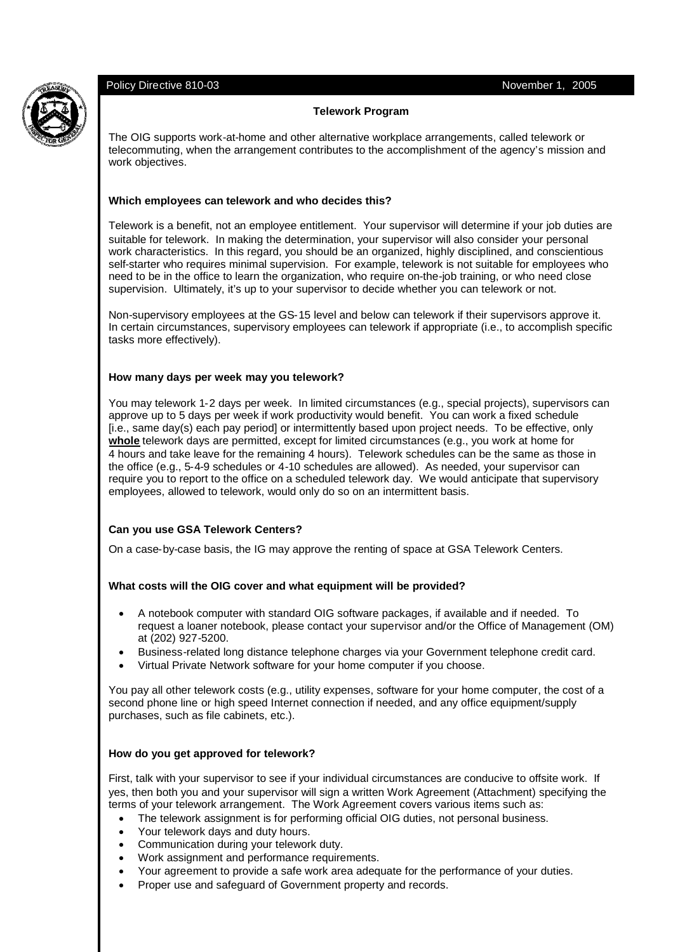## **Telework Program**

The OIG supports work-at-home and other alternative workplace arrangements, called telework or telecommuting, when the arrangement contributes to the accomplishment of the agency's mission and work objectives.

#### **Which employees can telework and who decides this?**

Telework is a benefit, not an employee entitlement. Your supervisor will determine if your job duties are suitable for telework. In making the determination, your supervisor will also consider your personal work characteristics. In this regard, you should be an organized, highly disciplined, and conscientious self-starter who requires minimal supervision. For example, telework is not suitable for employees who need to be in the office to learn the organization, who require on-the-job training, or who need close supervision. Ultimately, it's up to your supervisor to decide whether you can telework or not.

Non-supervisory employees at the GS-15 level and below can telework if their supervisors approve it. In certain circumstances, supervisory employees can telework if appropriate (i.e., to accomplish specific tasks more effectively).

#### **How many days per week may you telework?**

You may telework 1-2 days per week. In limited circumstances (e.g., special projects), supervisors can approve up to 5 days per week if work productivity would benefit. You can work a fixed schedule [i.e., same day(s) each pay period] or intermittently based upon project needs. To be effective, only **whole** telework days are permitted, except for limited circumstances (e.g., you work at home for 4 hours and take leave for the remaining 4 hours). Telework schedules can be the same as those in the office (e.g., 5-4-9 schedules or 4-10 schedules are allowed). As needed, your supervisor can require you to report to the office on a scheduled telework day. We would anticipate that supervisory employees, allowed to telework, would only do so on an intermittent basis.

#### **Can you use GSA Telework Centers?**

On a case-by-case basis, the IG may approve the renting of space at GSA Telework Centers.

#### **What costs will the OIG cover and what equipment will be provided?**

- A notebook computer with standard OIG software packages, if available and if needed. To request a loaner notebook, please contact your supervisor and/or the Office of Management (OM) at (202) 927-5200.
- Business-related long distance telephone charges via your Government telephone credit card.
- Virtual Private Network software for your home computer if you choose.

You pay all other telework costs (e.g., utility expenses, software for your home computer, the cost of a second phone line or high speed Internet connection if needed, and any office equipment/supply purchases, such as file cabinets, etc.).

#### **How do you get approved for telework?**

First, talk with your supervisor to see if your individual circumstances are conducive to offsite work. If yes, then both you and your supervisor will sign a written Work Agreement (Attachment) specifying the terms of your telework arrangement. The Work Agreement covers various items such as:

- The telework assignment is for performing official OIG duties, not personal business.
- Your telework days and duty hours.
- Communication during your telework duty.
- Work assignment and performance requirements.
- Your agreement to provide a safe work area adequate for the performance of your duties.
- Proper use and safeguard of Government property and records.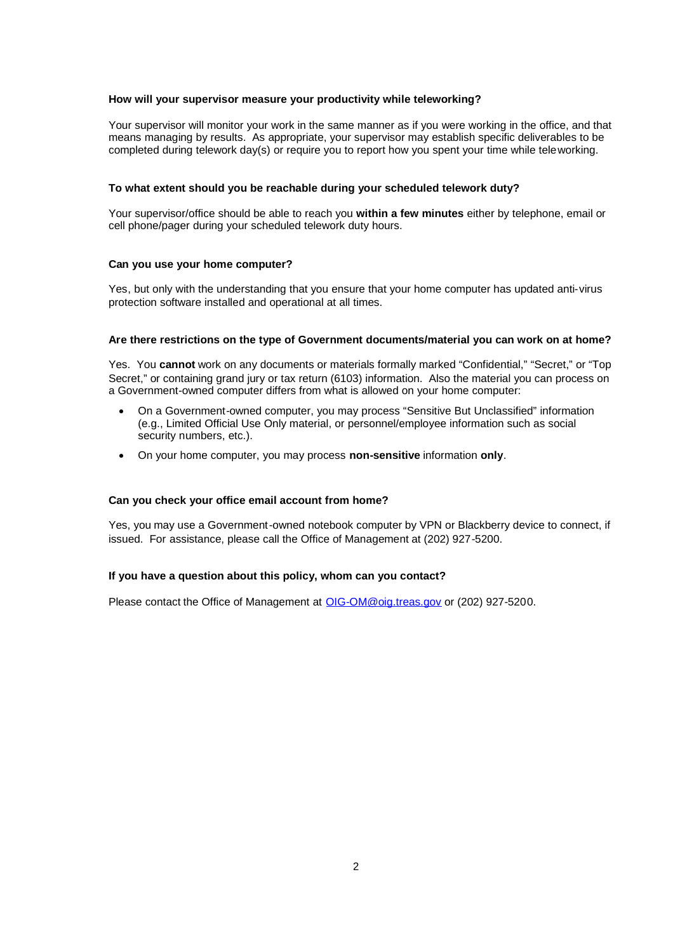#### **How will your supervisor measure your productivity while teleworking?**

Your supervisor will monitor your work in the same manner as if you were working in the office, and that means managing by results. As appropriate, your supervisor may establish specific deliverables to be completed during telework day(s) or require you to report how you spent your time while teleworking.

#### **To what extent should you be reachable during your scheduled telework duty?**

Your supervisor/office should be able to reach you **within a few minutes** either by telephone, email or cell phone/pager during your scheduled telework duty hours.

#### **Can you use your home computer?**

Yes, but only with the understanding that you ensure that your home computer has updated anti-virus protection software installed and operational at all times.

#### **Are there restrictions on the type of Government documents/material you can work on at home?**

Yes. You **cannot** work on any documents or materials formally marked "Confidential," "Secret," or "Top Secret," or containing grand jury or tax return (6103) information. Also the material you can process on a Government-owned computer differs from what is allowed on your home computer:

- On a Government-owned computer, you may process "Sensitive But Unclassified" information (e.g., Limited Official Use Only material, or personnel/employee information such as social security numbers, etc.).
- On your home computer, you may process **non-sensitive** information **only**.

#### **Can you check your office email account from home?**

Yes, you may use a Government-owned notebook computer by VPN or Blackberry device to connect, if issued. For assistance, please call the Office of Management at (202) 927-5200.

#### **If you have a question about this policy, whom can you contact?**

Please contact the Office of Management at OIG-OM@oig.treas.gov or (202) 927-5200.